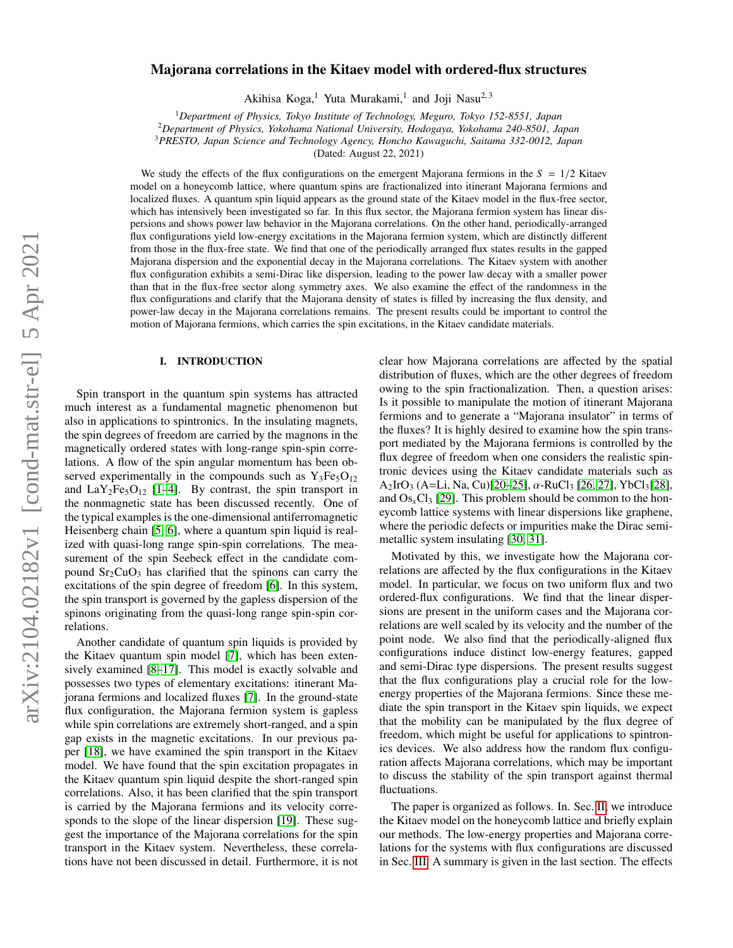# $arXiv:2104.02182v1$  [cond-mat.str-el] 5 Apr 2021 arXiv:2104.02182v1 [cond-mat.str-el] 5 Apr 2021

# Majorana correlations in the Kitaev model with ordered-flux structures

Akihisa Koga,<sup>1</sup> Yuta Murakami,<sup>1</sup> and Joji Nasu<sup>2,3</sup>

<sup>1</sup>*Department of Physics, Tokyo Institute of Technology, Meguro, Tokyo 152-8551, Japan*

<sup>2</sup>*Department of Physics, Yokohama National University, Hodogaya, Yokohama 240-8501, Japan*

<sup>3</sup>*PRESTO, Japan Science and Technology Agency, Honcho Kawaguchi, Saitama 332-0012, Japan*

(Dated: August 22, 2021)

We study the effects of the flux configurations on the emergent Majorana fermions in the  $S = 1/2$  Kitaev model on a honeycomb lattice, where quantum spins are fractionalized into itinerant Majorana fermions and localized fluxes. A quantum spin liquid appears as the ground state of the Kitaev model in the flux-free sector, which has intensively been investigated so far. In this flux sector, the Majorana fermion system has linear dispersions and shows power law behavior in the Majorana correlations. On the other hand, periodically-arranged flux configurations yield low-energy excitations in the Majorana fermion system, which are distinctly different from those in the flux-free state. We find that one of the periodically arranged flux states results in the gapped Majorana dispersion and the exponential decay in the Majorana correlations. The Kitaev system with another flux configuration exhibits a semi-Dirac like dispersion, leading to the power law decay with a smaller power than that in the flux-free sector along symmetry axes. We also examine the effect of the randomness in the flux configurations and clarify that the Majorana density of states is filled by increasing the flux density, and power-law decay in the Majorana correlations remains. The present results could be important to control the motion of Majorana fermions, which carries the spin excitations, in the Kitaev candidate materials.

# I. INTRODUCTION

Spin transport in the quantum spin systems has attracted much interest as a fundamental magnetic phenomenon but also in applications to spintronics. In the insulating magnets, the spin degrees of freedom are carried by the magnons in the magnetically ordered states with long-range spin-spin correlations. A flow of the spin angular momentum has been observed experimentally in the compounds such as  $Y_3Fe<sub>5</sub>O<sub>12</sub>$ and  $LaY<sub>2</sub>Fe<sub>5</sub>O<sub>12</sub>$  [\[1–](#page-7-0)[4\]](#page-7-1). By contrast, the spin transport in the nonmagnetic state has been discussed recently. One of the typical examples is the one-dimensional antiferromagnetic Heisenberg chain [\[5,](#page-7-2) [6\]](#page-7-3), where a quantum spin liquid is realized with quasi-long range spin-spin correlations. The measurement of the spin Seebeck effect in the candidate compound  $Sr<sub>2</sub>CuO<sub>3</sub>$  has clarified that the spinons can carry the excitations of the spin degree of freedom [\[6\]](#page-7-3). In this system, the spin transport is governed by the gapless dispersion of the spinons originating from the quasi-long range spin-spin correlations.

Another candidate of quantum spin liquids is provided by the Kitaev quantum spin model [\[7\]](#page-7-4), which has been extensively examined [\[8–](#page-7-5)[17\]](#page-8-0). This model is exactly solvable and possesses two types of elementary excitations: itinerant Majorana fermions and localized fluxes [\[7\]](#page-7-4). In the ground-state flux configuration, the Majorana fermion system is gapless while spin correlations are extremely short-ranged, and a spin gap exists in the magnetic excitations. In our previous paper [\[18\]](#page-8-1), we have examined the spin transport in the Kitaev model. We have found that the spin excitation propagates in the Kitaev quantum spin liquid despite the short-ranged spin correlations. Also, it has been clarified that the spin transport is carried by the Majorana fermions and its velocity corre-sponds to the slope of the linear dispersion [\[19\]](#page-8-2). These suggest the importance of the Majorana correlations for the spin transport in the Kitaev system. Nevertheless, these correlations have not been discussed in detail. Furthermore, it is not

clear how Majorana correlations are affected by the spatial distribution of fluxes, which are the other degrees of freedom owing to the spin fractionalization. Then, a question arises: Is it possible to manipulate the motion of itinerant Majorana fermions and to generate a "Majorana insulator" in terms of the fluxes? It is highly desired to examine how the spin transport mediated by the Majorana fermions is controlled by the flux degree of freedom when one considers the realistic spintronic devices using the Kitaev candidate materials such as  $A_2$ IrO<sub>3</sub> (A=Li, Na, Cu)[\[20–](#page-8-3)[25\]](#page-8-4),  $\alpha$ -RuCl<sub>3</sub> [\[26,](#page-8-5) [27\]](#page-8-6), YbCl<sub>3</sub>[\[28\]](#page-8-7), and  $Os<sub>x</sub>Cl<sub>3</sub>$  [\[29\]](#page-8-8). This problem should be common to the honeycomb lattice systems with linear dispersions like graphene, where the periodic defects or impurities make the Dirac semimetallic system insulating [\[30,](#page-8-9) [31\]](#page-8-10).

Motivated by this, we investigate how the Majorana correlations are affected by the flux configurations in the Kitaev model. In particular, we focus on two uniform flux and two ordered-flux configurations. We find that the linear dispersions are present in the uniform cases and the Majorana correlations are well scaled by its velocity and the number of the point node. We also find that the periodically-aligned flux configurations induce distinct low-energy features, gapped and semi-Dirac type dispersions. The present results suggest that the flux configurations play a crucial role for the lowenergy properties of the Majorana fermions. Since these mediate the spin transport in the Kitaev spin liquids, we expect that the mobility can be manipulated by the flux degree of freedom, which might be useful for applications to spintronics devices. We also address how the random flux configuration affects Majorana correlations, which may be important to discuss the stability of the spin transport against thermal fluctuations.

The paper is organized as follows. In. Sec. [II,](#page-1-0) we introduce the Kitaev model on the honeycomb lattice and briefly explain our methods. The low-energy properties and Majorana correlations for the systems with flux configurations are discussed in Sec. [III.](#page-2-0) A summary is given in the last section. The effects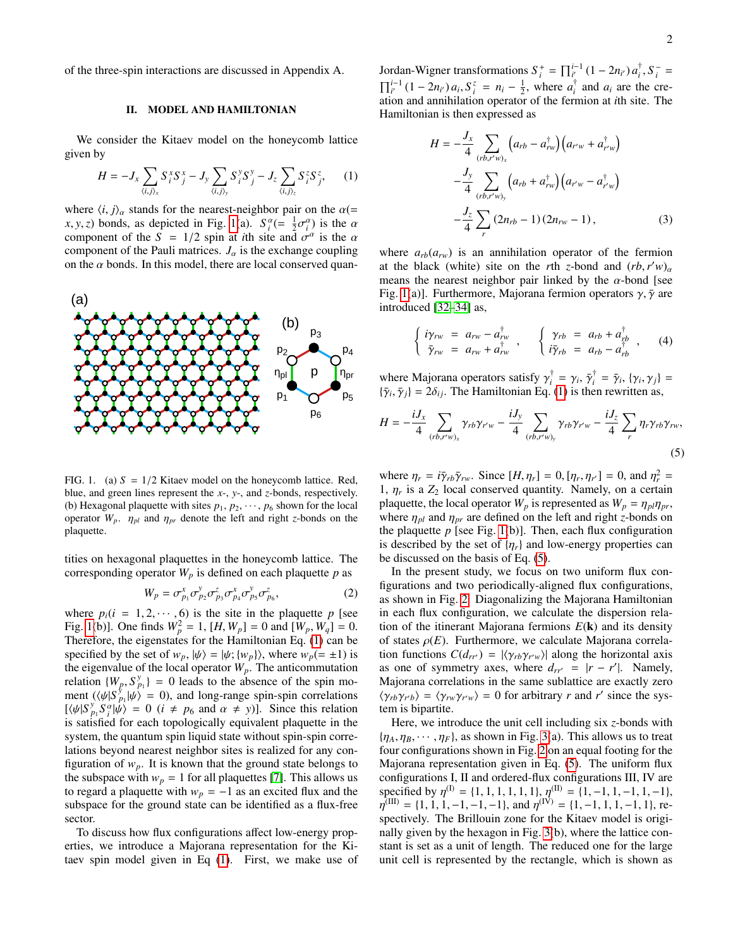of the three-spin interactions are discussed in Appendix A.

# <span id="page-1-0"></span>II. MODEL AND HAMILTONIAN

We consider the Kitaev model on the honeycomb lattice given by

<span id="page-1-2"></span>
$$
H = -J_x \sum_{\langle i,j \rangle_x} S_i^x S_j^x - J_y \sum_{\langle i,j \rangle_y} S_i^y S_j^y - J_z \sum_{\langle i,j \rangle_z} S_i^z S_j^z, \qquad (1)
$$

where  $\langle i, j \rangle_{\alpha}$  stands for the nearest-neighbor pair on the  $\alpha$ (= *x*, *y*, *z*) bonds, as depicted in Fig. [1\(](#page-1-1)a).  $S_1^{\alpha} (= \frac{1}{2} \sigma_1^{\alpha})$  is the  $\alpha$  component of the  $S = 1/2$  spin at *i*th site and  $\sigma^{\alpha}$  is the  $\alpha$ component of the *S* = 1/2 spin at *i*th site and  $\sigma^{\alpha}$  is the  $\alpha$ <br>component of the Pauli matrices *L* is the exchange counling component of the Pauli matrices.  $J_{\alpha}$  is the exchange coupling on the  $\alpha$  bonds. In this model, there are local conserved quan-



<span id="page-1-1"></span>FIG. 1. (a)  $S = 1/2$  Kitaev model on the honeycomb lattice. Red, blue, and green lines represent the *x*-, *y*-, and *z*-bonds, respectively. (b) Hexagonal plaquette with sites  $p_1, p_2, \dots, p_6$  shown for the local operator  $W_p$ .  $\eta_{pl}$  and  $\eta_{pr}$  denote the left and right *z*-bonds on the plaquette.

tities on hexagonal plaquettes in the honeycomb lattice. The corresponding operator  $W_p$  is defined on each plaquette  $p$  as

$$
W_p = \sigma_{p_1}^x \sigma_{p_2}^y \sigma_{p_3}^z \sigma_{p_4}^x \sigma_{p_5}^y \sigma_{p_6}^z,
$$
 (2)

where  $p_i(i = 1, 2, \dots, 6)$  is the site in the plaquette *p* [see<br>Fig. 1(b)]. One finds  $W^2 - 1$  [H W ] – 0 and [W W ] – 0. Fig. [1\(](#page-1-1)b)]. One finds  $W_p^2 = 1$ ,  $[H, W_p] = 0$  and  $[W_p, W_q] = 0$ .<br>Therefore, the eigenstates for the Hamiltonian Eq. (1) can be Therefore, the eigenstates for the Hamiltonian Eq. [\(1\)](#page-1-2) can be specified by the set of  $w_p$ ,  $|\psi\rangle = |\psi; \{w_p\}\rangle$ , where  $w_p (= \pm 1)$  is the eigenvalue of the local operator  $W_p$ . The anticommutation relation  $\{W_p, S_p^y\} = 0$  leads to the absence of the spin mo-<br>ment  $(\psi/|S^y|)_{p(x)} = 0$  and long-range spin-spin correlations ment  $(\langle \psi | S_{\nu}^{\gamma} | \psi \rangle = 0)$ , and long-range spin-spin correlations  $[\langle \psi | S_{\nu}^{\gamma} | \psi \rangle] = 0$  ( $i \neq p_{\zeta}$  and  $\alpha \neq \nu$ )]. Since this relation  $[\langle \psi | S \rangle^y \rangle^y = \langle \psi | S \rangle^y = 0$  (*i*  $\neq p_6$  and  $\alpha \neq y$ )]. Since this relation is satisfied for each topologically equivalent plaquette in the is satisfied for each topologically equivalent plaquette in the system, the quantum spin liquid state without spin-spin correlations beyond nearest neighbor sites is realized for any configuration of  $w_p$ . It is known that the ground state belongs to the subspace with  $w_p = 1$  for all plaquettes [\[7\]](#page-7-4). This allows us to regard a plaquette with  $w_p = -1$  as an excited flux and the subspace for the ground state can be identified as a flux-free sector.

To discuss how flux configurations affect low-energy properties, we introduce a Majorana representation for the Kitaev spin model given in Eq [\(1\)](#page-1-2). First, we make use of

Jordan-Wigner transformations  $S_i^+ = \prod_{i'}^{i-1} (1 - 2n_{i'}) a_i^{\dagger}$  $\int_{i}^{+}$ , *S*<sup>−</sup> =  $\prod_{i'}^{i-1} (1 - 2n_{i'}) a_i, S_i^z = n_i - \frac{1}{2}$ , where  $a_i^{\dagger}$  ation and annihilation operator of the ferm  $\int_{i}^{T}$  and  $a_i$  are the creation and annihilation operator of the fermion at *i*th site. The Hamiltonian is then expressed as

$$
H = -\frac{J_x}{4} \sum_{(rb, r'w)_x} \left( a_{rb} - a_{rw}^{\dagger} \right) \left( a_{r'w} + a_{r'w}^{\dagger} \right)
$$

$$
-\frac{J_y}{4} \sum_{(rb, r'w)_y} \left( a_{rb} + a_{rw}^{\dagger} \right) \left( a_{r'w} - a_{r'w}^{\dagger} \right)
$$

$$
-\frac{J_z}{4} \sum_{r} \left( 2n_{rb} - 1 \right) \left( 2n_{rw} - 1 \right), \tag{3}
$$

where  $a_{rb}(a_{rw})$  is an annihilation operator of the fermion at the black (white) site on the *r*th *z*-bond and  $(rb, r'w)$ <sub>a</sub> means the pearest peighbor pair linked by the  $\alpha$ -bond [see means the nearest neighbor pair linked by the  $\alpha$ -bond [see Fig. [1\(](#page-1-1)a)]. Furthermore, Majorana fermion operators  $\gamma$ ,  $\bar{\gamma}$  are introduced [\[32](#page-8-11)[–34\]](#page-8-12) as,

$$
\begin{cases}\n i\gamma_{rw} = a_{rw} - a_{rw}^{\dagger} \\
\bar{\gamma}_{rw} = a_{rw} + a_{rw}^{\dagger}\n \end{cases}\n \quad\n \begin{cases}\n \gamma_{rb} = a_{rb} + a_{rb}^{\dagger} \\
i\bar{\gamma}_{rb} = a_{rb} - a_{rb}^{\dagger}\n \end{cases}\n \tag{4}
$$

where Majorana operators satisfy  $\gamma_i^{\dagger}$ <br> $\{\bar{\gamma}_i, \bar{\gamma}_j\} = 2\delta_i$ . The Hamiltonian Eq.  $\bar{\gamma}_i^{\dagger} = \gamma_i, \bar{\gamma}_i^{\dagger}$ <br>(1) is the  $\bar{\gamma}_i^{\dagger} = \bar{\gamma}_i$ ,  $\{\gamma_i, \gamma_j\} =$ <br>en rewritten as  $\{\bar{\gamma}_i, \bar{\gamma}_j\} = 2\delta_{ij}$ . The Hamiltonian Eq. [\(1\)](#page-1-2) is then rewritten as,

<span id="page-1-3"></span>
$$
H = -\frac{iJ_x}{4} \sum_{(rb,r'w)_x} \gamma_{rb} \gamma_{r'w} - \frac{iJ_y}{4} \sum_{(rb,r'w)_y} \gamma_{rb} \gamma_{r'w} - \frac{iJ_z}{4} \sum_r \eta_r \gamma_{rb} \gamma_{rw},\tag{5}
$$

where  $\eta_r = i\bar{\gamma}_{rb}\bar{\gamma}_{rw}$ . Since  $[H, \eta_r] = 0$ ,  $[\eta_r, \eta_{r'}] = 0$ , and  $\eta_r^2 = 1$ , *n*, is a Z<sub>2</sub> local conserved quantity. Namely, on a certain where  $\eta_r = \nu_r r_b \gamma_{rw}$ . Since  $[H, \eta_r] = 0$ ,  $[\eta_r, \eta_{r'}] = 0$ , and  $\eta_r = 1$ ,  $\eta_r$  is a  $Z_2$  local conserved quantity. Namely, on a certain plaquette the local operator W is represented as  $W = n \mu$ plaquette, the local operator  $W_p$  is represented as  $W_p = \eta_{pl} \eta_{pr}$ , where  $\eta_{pl}$  and  $\eta_{pr}$  are defined on the left and right *z*-bonds on the plaquette  $p$  [see Fig. [1\(](#page-1-1)b)]. Then, each flux configuration is described by the set of  $\{\eta_r\}$  and low-energy properties can be discussed on the basis of Eq. [\(5\)](#page-1-3).

In the present study, we focus on two uniform flux configurations and two periodically-aligned flux configurations, as shown in Fig. [2.](#page-2-1) Diagonalizing the Majorana Hamiltonian in each flux configuration, we calculate the dispersion relation of the itinerant Majorana fermions *E*(k) and its density of states  $\rho(E)$ . Furthermore, we calculate Majorana correlation functions  $C(d_{rr}) = |\langle \gamma_{rb} \gamma_{r} \rangle|$  along the horizontal axis<br>as one of symmetry axes, where  $d_{rt} = |r - r'|$ . Namely as one of symmetry axes, where  $d_{rr'} = |r - r'|$ . Namely, Majorana correlations in the same sublattice are exactly zero  $\langle \gamma_{rb} \gamma_{r'b} \rangle = \langle \gamma_{rw} \gamma_{r'w} \rangle = 0$  for arbitrary *r* and *r'* since the system is binartite tem is bipartite.

Here, we introduce the unit cell including six *z*-bonds with  ${\eta_A, \eta_B, \cdots, \eta_F}$ , as shown in Fig. [3\(](#page-2-2)a). This allows us to treat four configurations shown in Fig. [2](#page-2-1) on an equal footing for the Majorana representation given in Eq. [\(5\)](#page-1-3). The uniform flux configurations I, II and ordered-flux configurations III, IV are specified by  $\eta^{(1)} = \{1, 1, 1, 1, 1, 1\}$ ,  $\eta^{(1)} = \{1, -1, 1, -1, 1, -1\}$ ,  $\eta^{(1)} = \{1, -1, 1, -1, 1, -1\}$ ,  $\eta^{(1)} = \{1, -1, 1, -1, 1, 1, -1, 1\}$ spectively. The Brillouin zone for the Kitaev model is originally  $\binom{[III]}{[II]} = \{1, 1, 1, -1, -1, -1\}$ , and  $\eta^{[IV]} = \{1, -1, 1, 1, -1, 1\}$ , repectively. The Brillouin zone for the Kitaey model is originally given by the hexagon in Fig. [3\(](#page-2-2)b), where the lattice constant is set as a unit of length. The reduced one for the large unit cell is represented by the rectangle, which is shown as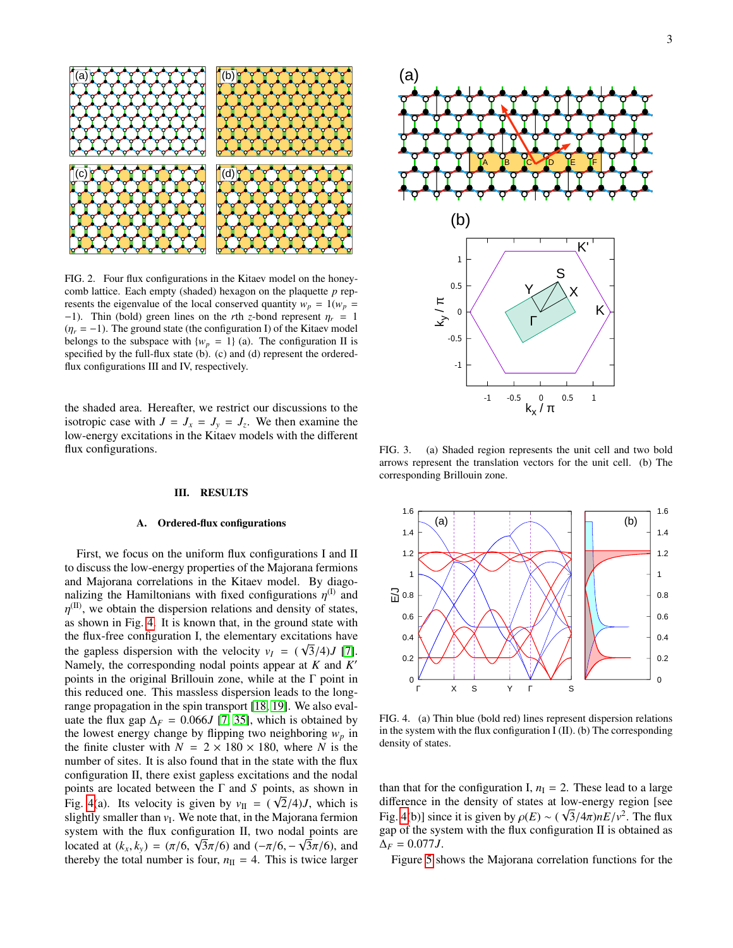

<span id="page-2-1"></span>FIG. 2. Four flux configurations in the Kitaev model on the honeycomb lattice. Each empty (shaded) hexagon on the plaquette *p* represents the eigenvalue of the local conserved quantity  $w_p = 1(w_p)$ −1). Thin (bold) green lines on the *r*th *z*-bond represent  $\eta_r = 1$  $(\eta_r = -1)$ . The ground state (the configuration I) of the Kitaev model belongs to the subspace with  ${w_p = 1}$  (a). The configuration II is specified by the full-flux state  $(b)$ . (c) and (d) represent the orderedflux configurations III and IV, respectively.

the shaded area. Hereafter, we restrict our discussions to the isotropic case with  $J = J_x = J_y = J_z$ . We then examine the low-energy excitations in the Kitaev models with the different flux configurations.

# <span id="page-2-0"></span>III. RESULTS

### A. Ordered-flux configurations

First, we focus on the uniform flux configurations I and II to discuss the low-energy properties of the Majorana fermions and Majorana correlations in the Kitaev model. By diagonalizing the Hamiltonians with fixed configurations  $\eta^{(1)}$  and  $n^{(II)}$  we obtain the dispersion relations and density of states as shown in Fig. [4.](#page-2-3) It is known that, in the ground state with  $\eta^{\text{(II)}}$ , we obtain the dispersion relations and density of states, the flux-free configuration I, the elementary excitations have the gapless dispersion with the velocity  $v_I = (\sqrt{3}/4)J$  [\[7\]](#page-7-4).<br>Namely the corresponding nodal points appear at K and K' Namely, the corresponding nodal points appear at *K* and *K* 0 points in the original Brillouin zone, while at the Γ point in this reduced one. This massless dispersion leads to the longrange propagation in the spin transport [\[18,](#page-8-1) [19\]](#page-8-2). We also evaluate the flux gap  $\Delta_F = 0.066J$  [\[7,](#page-7-4) [35\]](#page-8-13), which is obtained by the lowest energy change by flipping two neighboring  $w_p$  in the finite cluster with  $N = 2 \times 180 \times 180$ , where *N* is the number of sites. It is also found that in the state with the flux configuration II, there exist gapless excitations and the nodal points are located between the  $\Gamma$  and *S* points, as shown in Fig. [4\(](#page-2-3)a). Its velocity is given by  $v_{\text{II}} = (\sqrt{2}/4)J$ , which is slightly smaller than  $v_{\text{I}}$ . We note that in the Majorana fermion slightly smaller than  $v_I$ . We note that, in the Majorana fermion system with the flux configuration II, two nodal points are located at  $(k_x, k_y) = (\pi/6, \sqrt{3\pi/6})$  and  $(-\pi/6, -\sqrt{3\pi/6})$ , and thereby the total number is four  $n_y = 4$ . This is twice larger thereby the total number is four,  $n_{\text{II}} = 4$ . This is twice larger



<span id="page-2-2"></span>FIG. 3. (a) Shaded region represents the unit cell and two bold arrows represent the translation vectors for the unit cell. (b) The corresponding Brillouin zone.



<span id="page-2-3"></span>FIG. 4. (a) Thin blue (bold red) lines represent dispersion relations in the system with the flux configuration I (II). (b) The corresponding density of states.

than that for the configuration I,  $n<sub>I</sub> = 2$ . These lead to a large difference in the density of states at low-energy region [see Fig. [4\(](#page-2-3)b)] since it is given by  $\rho(E) \sim (\sqrt{3}/4\pi)nE/v^2$ . The flux configuration II is obtained as gap of the system with the flux configuration II is obtained as  $\Delta_F = 0.077 J$ .

Figure [5](#page-3-0) shows the Majorana correlation functions for the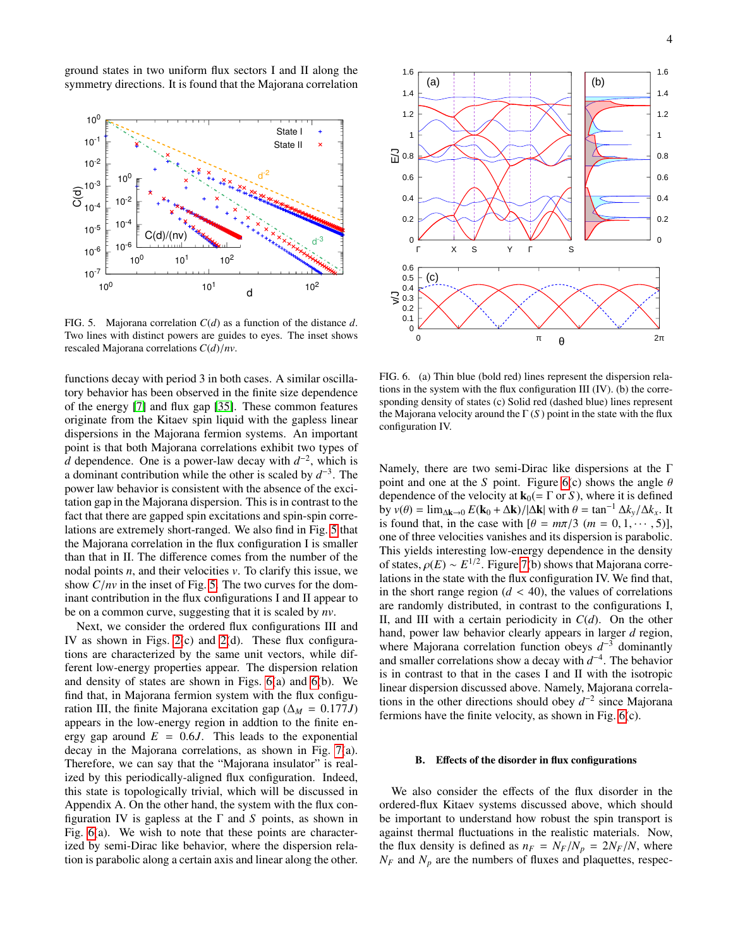ground states in two uniform flux sectors I and II along the symmetry directions. It is found that the Majorana correlation



<span id="page-3-0"></span>FIG. 5. Majorana correlation *C*(*d*) as a function of the distance *d*. Two lines with distinct powers are guides to eyes. The inset shows rescaled Majorana correlations *<sup>C</sup>*(*d*)/*nv*.

functions decay with period 3 in both cases. A similar oscillatory behavior has been observed in the finite size dependence of the energy [\[7\]](#page-7-4) and flux gap [\[35\]](#page-8-13). These common features originate from the Kitaev spin liquid with the gapless linear dispersions in the Majorana fermion systems. An important point is that both Majorana correlations exhibit two types of *d* dependence. One is a power-law decay with  $d^{-2}$ , which is a dominant contribution while the other is scaled by  $d^{-3}$ . The power law behavior is consistent with the absence of the excitation gap in the Majorana dispersion. This is in contrast to the fact that there are gapped spin excitations and spin-spin correlations are extremely short-ranged. We also find in Fig. [5](#page-3-0) that the Majorana correlation in the flux configuration I is smaller than that in II. The difference comes from the number of the nodal points *n*, and their velocities *v*. To clarify this issue, we show *<sup>C</sup>*/*nv* in the inset of Fig. [5.](#page-3-0) The two curves for the dominant contribution in the flux configurations I and II appear to be on a common curve, suggesting that it is scaled by *nv*.

Next, we consider the ordered flux configurations III and IV as shown in Figs. [2\(](#page-2-1)c) and [2\(](#page-2-1)d). These flux configurations are characterized by the same unit vectors, while different low-energy properties appear. The dispersion relation and density of states are shown in Figs. [6\(](#page-3-1)a) and [6\(](#page-3-1)b). We find that, in Majorana fermion system with the flux configuration III, the finite Majorana excitation gap ( $\Delta_M = 0.177J$ ) appears in the low-energy region in addtion to the finite energy gap around  $E = 0.6J$ . This leads to the exponential decay in the Majorana correlations, as shown in Fig. [7\(](#page-4-0)a). Therefore, we can say that the "Majorana insulator" is realized by this periodically-aligned flux configuration. Indeed, this state is topologically trivial, which will be discussed in Appendix A. On the other hand, the system with the flux configuration IV is gapless at the Γ and *S* points, as shown in Fig. [6\(](#page-3-1)a). We wish to note that these points are characterized by semi-Dirac like behavior, where the dispersion relation is parabolic along a certain axis and linear along the other.



<span id="page-3-1"></span>FIG. 6. (a) Thin blue (bold red) lines represent the dispersion relations in the system with the flux configuration III (IV). (b) the corresponding density of states (c) Solid red (dashed blue) lines represent the Majorana velocity around the  $\Gamma(S)$  point in the state with the flux configuration IV.

Namely, there are two semi-Dirac like dispersions at the Γ point and one at the *S* point. Figure [6\(](#page-3-1)c) shows the angle  $\theta$ dependence of the velocity at  $\mathbf{k}_0(=\Gamma \text{ or } S)$ , where it is defined by  $v(\theta) = \lim_{\Delta k \to 0} E(\mathbf{k}_0 + \Delta \mathbf{k}) / |\Delta \mathbf{k}|$  with  $\theta = \tan^{-1} \Delta k_v / \Delta k_x$ . It is found that, in the case with  $[\theta = m\pi/3 \ (m = 0, 1, \dots, 5)]$ , one of three velocities vanishes and its dispersion is parabolic. This yields interesting low-energy dependence in the density of states,  $\rho(E) \sim E^{1/2}$ . Figure [7\(](#page-4-0)b) shows that Majorana corre-<br>lations in the state with the flux configuration IV. We find that lations in the state with the flux configuration IV. We find that, in the short range region  $(d < 40)$ , the values of correlations are randomly distributed, in contrast to the configurations I, II, and III with a certain periodicity in *C*(*d*). On the other hand, power law behavior clearly appears in larger *d* region, where Majorana correlation function obeys  $d^{-3}$  dominantly and smaller correlations show a decay with  $d^{-4}$ . The behavior is in contrast to that in the cases I and II with the isotropic linear dispersion discussed above. Namely, Majorana correlations in the other directions should obey  $d^{-2}$  since Majorana fermions have the finite velocity, as shown in Fig. [6\(](#page-3-1)c).

### B. Effects of the disorder in flux configurations

We also consider the effects of the flux disorder in the ordered-flux Kitaev systems discussed above, which should be important to understand how robust the spin transport is against thermal fluctuations in the realistic materials. Now, the flux density is defined as  $n_F = N_F/N_p = 2N_F/N$ , where  $N_F$  and  $N_p$  are the numbers of fluxes and plaquettes, respec-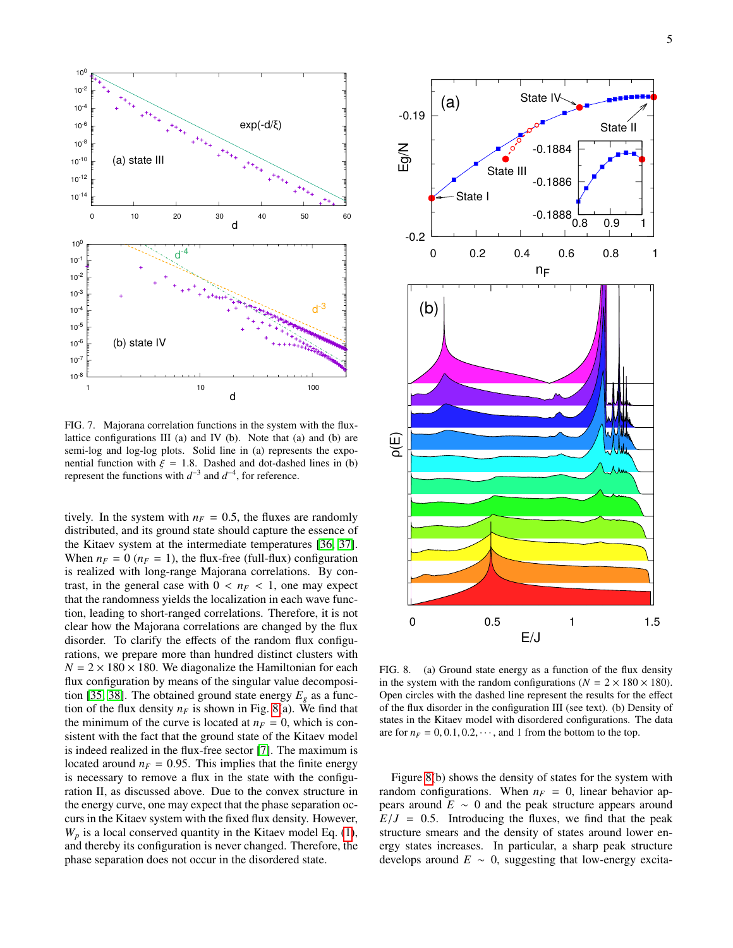

<span id="page-4-0"></span>FIG. 7. Majorana correlation functions in the system with the fluxlattice configurations III (a) and IV (b). Note that (a) and (b) are semi-log and log-log plots. Solid line in (a) represents the exponential function with  $\xi = 1.8$ . Dashed and dot-dashed lines in (b) represent the functions with  $d^{-3}$  and  $d^{-4}$ , for reference.

tively. In the system with  $n_F = 0.5$ , the fluxes are randomly distributed, and its ground state should capture the essence of the Kitaev system at the intermediate temperatures [\[36,](#page-8-14) [37\]](#page-8-15). When  $n_F = 0$  ( $n_F = 1$ ), the flux-free (full-flux) configuration is realized with long-range Majorana correlations. By contrast, in the general case with  $0 < n_F < 1$ , one may expect that the randomness yields the localization in each wave function, leading to short-ranged correlations. Therefore, it is not clear how the Majorana correlations are changed by the flux disorder. To clarify the effects of the random flux configurations, we prepare more than hundred distinct clusters with  $N = 2 \times 180 \times 180$ . We diagonalize the Hamiltonian for each flux configuration by means of the singular value decomposi-tion [\[35,](#page-8-13) [38\]](#page-8-16). The obtained ground state energy  $E_g$  as a function of the flux density  $n_F$  is shown in Fig. [8\(](#page-4-1)a). We find that the minimum of the curve is located at  $n_F = 0$ , which is consistent with the fact that the ground state of the Kitaev model is indeed realized in the flux-free sector [\[7\]](#page-7-4). The maximum is located around  $n_F = 0.95$ . This implies that the finite energy is necessary to remove a flux in the state with the configuration II, as discussed above. Due to the convex structure in the energy curve, one may expect that the phase separation occurs in the Kitaev system with the fixed flux density. However,  $W_p$  is a local conserved quantity in the Kitaev model Eq. [\(1\)](#page-1-2), and thereby its configuration is never changed. Therefore, the phase separation does not occur in the disordered state.



<span id="page-4-1"></span>FIG. 8. (a) Ground state energy as a function of the flux density in the system with the random configurations ( $N = 2 \times 180 \times 180$ ). Open circles with the dashed line represent the results for the effect of the flux disorder in the configuration III (see text). (b) Density of states in the Kitaev model with disordered configurations. The data are for  $n_F = 0, 0.1, 0.2, \cdots$ , and 1 from the bottom to the top.

Figure [8\(](#page-4-1)b) shows the density of states for the system with random configurations. When  $n_F = 0$ , linear behavior appears around *E* ∼ 0 and the peak structure appears around  $E/J = 0.5$ . Introducing the fluxes, we find that the peak structure smears and the density of states around lower energy states increases. In particular, a sharp peak structure develops around  $E \sim 0$ , suggesting that low-energy excita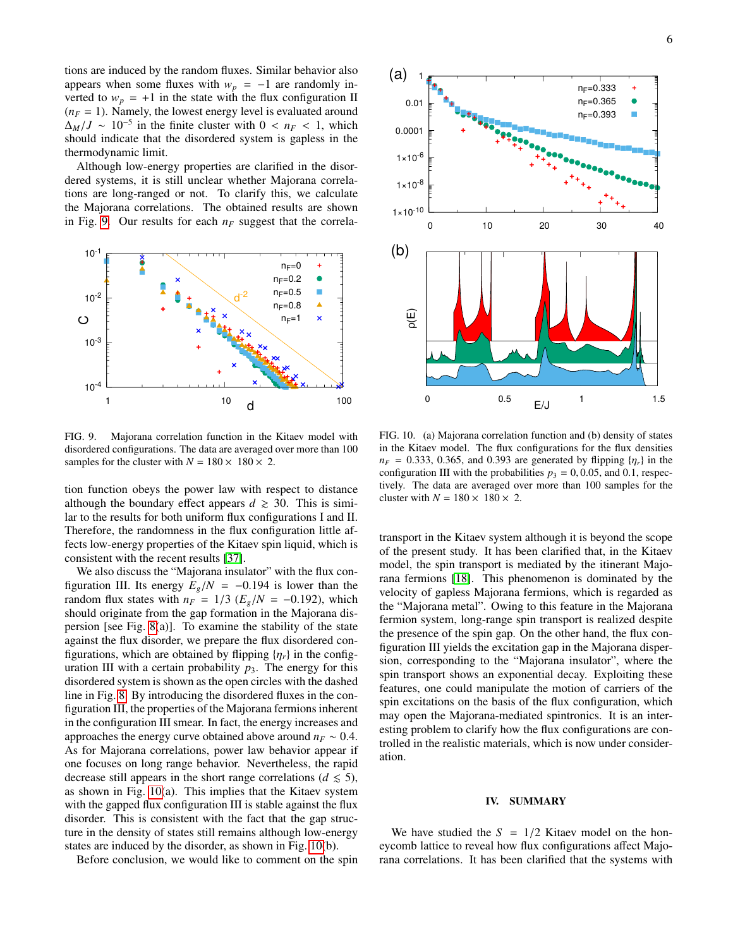tions are induced by the random fluxes. Similar behavior also appears when some fluxes with  $w_p = -1$  are randomly inverted to  $w_p = +1$  in the state with the flux configuration II  $(n_F = 1)$ . Namely, the lowest energy level is evaluated around  $\Delta_M/J \sim 10^{-5}$  in the finite cluster with  $0 < n_F < 1$ , which should indicate that the disordered system is gapless in the should indicate that the disordered system is gapless in the thermodynamic limit.

Although low-energy properties are clarified in the disordered systems, it is still unclear whether Majorana correlations are long-ranged or not. To clarify this, we calculate the Majorana correlations. The obtained results are shown in Fig. [9.](#page-5-0) Our results for each *n<sup>F</sup>* suggest that the correla-





<span id="page-5-0"></span>FIG. 9. Majorana correlation function in the Kitaev model with disordered configurations. The data are averaged over more than 100 samples for the cluster with  $N = 180 \times 180 \times 2$ .

tion function obeys the power law with respect to distance although the boundary effect appears  $d \geq 30$ . This is similar to the results for both uniform flux configurations I and II. Therefore, the randomness in the flux configuration little affects low-energy properties of the Kitaev spin liquid, which is consistent with the recent results [\[37\]](#page-8-15).

We also discuss the "Majorana insulator" with the flux configuration III. Its energy  $E_g/N = -0.194$  is lower than the random flux states with  $n_F = 1/3$  ( $E_g/N = -0.192$ ), which should originate from the gap formation in the Majorana dispersion [see Fig. [8\(](#page-4-1)a)]. To examine the stability of the state against the flux disorder, we prepare the flux disordered configurations, which are obtained by flipping  $\{\eta_r\}$  in the configuration III with a certain probability  $p_3$ . The energy for this disordered system is shown as the open circles with the dashed line in Fig. [8.](#page-4-1) By introducing the disordered fluxes in the configuration III, the properties of the Majorana fermions inherent in the configuration III smear. In fact, the energy increases and approaches the energy curve obtained above around  $n_F \sim 0.4$ . As for Majorana correlations, power law behavior appear if one focuses on long range behavior. Nevertheless, the rapid decrease still appears in the short range correlations ( $d \leq 5$ ), as shown in Fig. [10\(](#page-5-1)a). This implies that the Kitaev system with the gapped flux configuration III is stable against the flux disorder. This is consistent with the fact that the gap structure in the density of states still remains although low-energy states are induced by the disorder, as shown in Fig. [10\(](#page-5-1)b).

Before conclusion, we would like to comment on the spin

<span id="page-5-1"></span>FIG. 10. (a) Majorana correlation function and (b) density of states in the Kitaev model. The flux configurations for the flux densities  $n_F = 0.333$ , 0.365, and 0.393 are generated by flipping  $\{\eta_r\}$  in the configuration III with the probabilities  $p_3 = 0, 0.05$ , and 0.1, respectively. The data are averaged over more than 100 samples for the cluster with  $N = 180 \times 180 \times 2$ .

transport in the Kitaev system although it is beyond the scope of the present study. It has been clarified that, in the Kitaev model, the spin transport is mediated by the itinerant Majorana fermions [\[18\]](#page-8-1). This phenomenon is dominated by the velocity of gapless Majorana fermions, which is regarded as the "Majorana metal". Owing to this feature in the Majorana fermion system, long-range spin transport is realized despite the presence of the spin gap. On the other hand, the flux configuration III yields the excitation gap in the Majorana dispersion, corresponding to the "Majorana insulator", where the spin transport shows an exponential decay. Exploiting these features, one could manipulate the motion of carriers of the spin excitations on the basis of the flux configuration, which may open the Majorana-mediated spintronics. It is an interesting problem to clarify how the flux configurations are controlled in the realistic materials, which is now under consideration.

## IV. SUMMARY

We have studied the  $S = 1/2$  Kitaev model on the honeycomb lattice to reveal how flux configurations affect Majorana correlations. It has been clarified that the systems with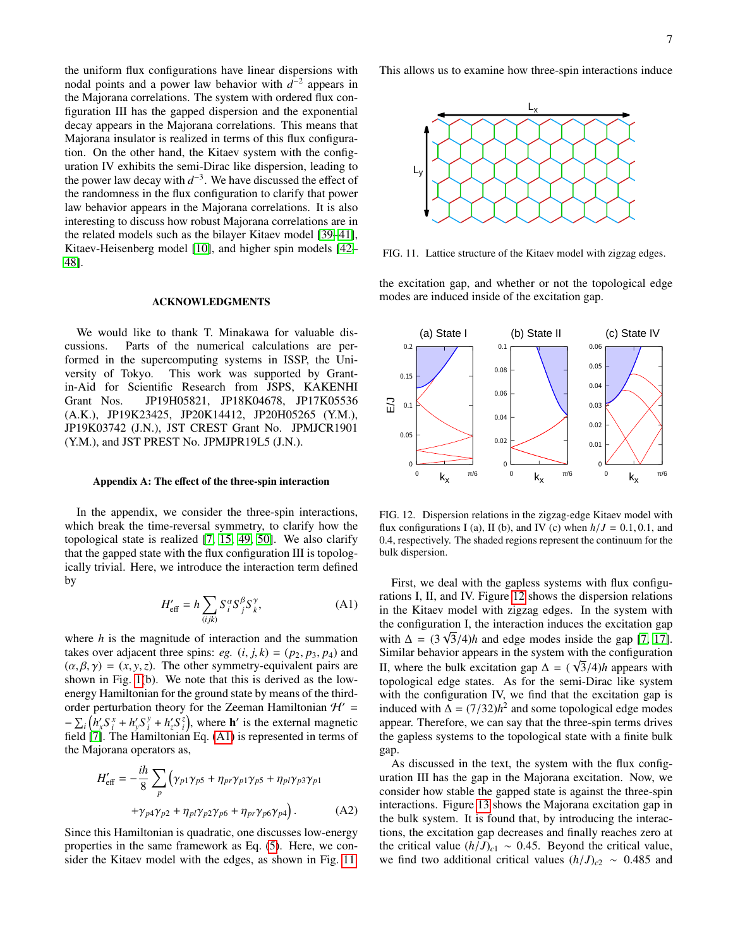the uniform flux configurations have linear dispersions with nodal points and a power law behavior with  $d^{-2}$  appears in the Majorana correlations. The system with ordered flux configuration III has the gapped dispersion and the exponential decay appears in the Majorana correlations. This means that Majorana insulator is realized in terms of this flux configuration. On the other hand, the Kitaev system with the configuration IV exhibits the semi-Dirac like dispersion, leading to the power law decay with  $d^{-3}$ . We have discussed the effect of the randomness in the flux configuration to clarify that power law behavior appears in the Majorana correlations. It is also interesting to discuss how robust Majorana correlations are in the related models such as the bilayer Kitaev model [\[39](#page-8-17)[–41\]](#page-8-18), Kitaev-Heisenberg model [\[10\]](#page-7-6), and higher spin models [\[42–](#page-8-19) [48\]](#page-8-20).

# ACKNOWLEDGMENTS

We would like to thank T. Minakawa for valuable discussions. Parts of the numerical calculations are performed in the supercomputing systems in ISSP, the University of Tokyo. This work was supported by Grantin-Aid for Scientific Research from JSPS, KAKENHI Grant Nos. JP19H05821, JP18K04678, JP17K05536 (A.K.), JP19K23425, JP20K14412, JP20H05265 (Y.M.), JP19K03742 (J.N.), JST CREST Grant No. JPMJCR1901 (Y.M.), and JST PREST No. JPMJPR19L5 (J.N.).

### Appendix A: The effect of the three-spin interaction

In the appendix, we consider the three-spin interactions, which break the time-reversal symmetry, to clarify how the topological state is realized [\[7,](#page-7-4) [15,](#page-8-21) [49,](#page-8-22) [50\]](#page-8-23). We also clarify that the gapped state with the flux configuration III is topologically trivial. Here, we introduce the interaction term defined by

<span id="page-6-0"></span>
$$
H'_{\text{eff}} = h \sum_{(ijk)} S_i^{\alpha} S_j^{\beta} S_k^{\gamma}, \tag{A1}
$$

where *h* is the magnitude of interaction and the summation takes over adjacent three spins: *eg.*  $(i, j, k) = (p_2, p_3, p_4)$  and  $(\alpha, \beta, \gamma) = (x, y, z)$ . The other symmetry-equivalent pairs are shown in Fig. [1\(](#page-1-1)b). We note that this is derived as the lowenergy Hamiltonian for the ground state by means of the thirdorder perturbation theory for the Zeeman Hamiltonian  $\mathcal{H}' =$  $-\sum_{i} (h'_x S_i^x + h'_y S_i^y)$  $\mathbf{h}'_i + h'_z S_i^z$ , where **h**' is the external magnetic field [\[7\]](#page-7-4). The Hamiltonian Eq. [\(A1\)](#page-6-0) is represented in terms of the Majorana operators as,

$$
H'_{\text{eff}} = -\frac{ih}{8} \sum_{p} \left( \gamma_{p1} \gamma_{p5} + \eta_{pr} \gamma_{p1} \gamma_{p5} + \eta_{p1} \gamma_{p3} \gamma_{p1} + \gamma_{p4} \gamma_{p2} + \eta_{p1} \gamma_{p2} \gamma_{p6} + \eta_{pr} \gamma_{p6} \gamma_{p4} \right). \tag{A2}
$$

Since this Hamiltonian is quadratic, one discusses low-energy properties in the same framework as Eq. [\(5\)](#page-1-3). Here, we consider the Kitaev model with the edges, as shown in Fig. [11.](#page-6-1) This allows us to examine how three-spin interactions induce



<span id="page-6-1"></span>FIG. 11. Lattice structure of the Kitaev model with zigzag edges.

the excitation gap, and whether or not the topological edge modes are induced inside of the excitation gap.



<span id="page-6-2"></span>FIG. 12. Dispersion relations in the zigzag-edge Kitaev model with flux configurations I (a), II (b), and IV (c) when  $h/J = 0.1, 0.1$ , and <sup>0</sup>.4, respectively. The shaded regions represent the continuum for the bulk dispersion.

First, we deal with the gapless systems with flux configurations I, II, and IV. Figure [12](#page-6-2) shows the dispersion relations in the Kitaev model with zigzag edges. In the system with the configuration I, the interaction induces the excitation gap with  $\Delta = (3\sqrt{3}/4)h$  and edge modes inside the gap [\[7,](#page-7-4) [17\]](#page-8-0).<br>Similar behavior appears in the system with the configuration Similar behavior appears in the system with the configuration II, where the bulk excitation gap  $\Delta = (\sqrt{3}/4)h$  appears with topological edge states. As for the semi-Dirac like system topological edge states. As for the semi-Dirac like system with the configuration IV, we find that the excitation gap is induced with  $\Delta = (7/32)h^2$  and some topological edge modes<br>appear. Therefore, we can say that the three-spin terms drives appear. Therefore, we can say that the three-spin terms drives the gapless systems to the topological state with a finite bulk gap.

As discussed in the text, the system with the flux configuration III has the gap in the Majorana excitation. Now, we consider how stable the gapped state is against the three-spin interactions. Figure [13](#page-7-7) shows the Majorana excitation gap in the bulk system. It is found that, by introducing the interactions, the excitation gap decreases and finally reaches zero at the critical value  $(h/J)_{c1} \sim 0.45$ . Beyond the critical value, we find two additional critical values  $(h/J)_{c2} \sim 0.485$  and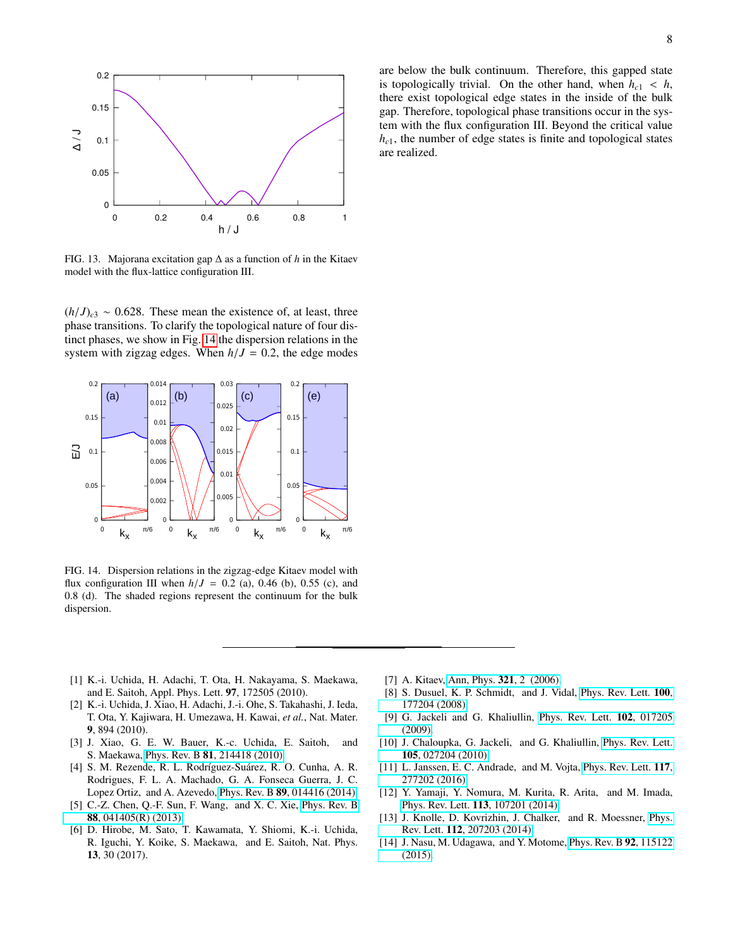

<span id="page-7-7"></span>FIG. 13. Majorana excitation gap ∆ as a function of *h* in the Kitaev model with the flux-lattice configuration III.

 $(h/J)_{c3} \sim 0.628$ . These mean the existence of, at least, three phase transitions. To clarify the topological nature of four distinct phases, we show in Fig. [14](#page-7-8) the dispersion relations in the system with zigzag edges. When  $h/J = 0.2$ , the edge modes



<span id="page-7-8"></span>FIG. 14. Dispersion relations in the zigzag-edge Kitaev model with flux configuration III when  $h/J = 0.2$  (a), 0.46 (b), 0.55 (c), and <sup>0</sup>.8 (d). The shaded regions represent the continuum for the bulk dispersion.

- <span id="page-7-0"></span>[1] K.-i. Uchida, H. Adachi, T. Ota, H. Nakayama, S. Maekawa, and E. Saitoh, Appl. Phys. Lett. 97, 172505 (2010).
- [2] K.-i. Uchida, J. Xiao, H. Adachi, J.-i. Ohe, S. Takahashi, J. Ieda, T. Ota, Y. Kajiwara, H. Umezawa, H. Kawai, *et al.*, Nat. Mater. 9, 894 (2010).
- [3] J. Xiao, G. E. W. Bauer, K.-c. Uchida, E. Saitoh, and S. Maekawa, Phys. Rev. B 81[, 214418 \(2010\).](http://dx.doi.org/ 10.1103/PhysRevB.81.214418)
- <span id="page-7-1"></span>[4] S. M. Rezende, R. L. Rodríguez-Suárez, R. O. Cunha, A. R. Rodrigues, F. L. A. Machado, G. A. Fonseca Guerra, J. C. Lopez Ortiz, and A. Azevedo, Phys. Rev. B 89[, 014416 \(2014\).](http://dx.doi.org/10.1103/PhysRevB.89.014416)
- <span id="page-7-2"></span>[5] C.-Z. Chen, Q.-F. Sun, F. Wang, and X. C. Xie, [Phys. Rev. B](http://dx.doi.org/ 10.1103/PhysRevB.88.041405) 88[, 041405\(R\) \(2013\).](http://dx.doi.org/ 10.1103/PhysRevB.88.041405)
- <span id="page-7-3"></span>[6] D. Hirobe, M. Sato, T. Kawamata, Y. Shiomi, K.-i. Uchida, R. Iguchi, Y. Koike, S. Maekawa, and E. Saitoh, Nat. Phys. 13, 30 (2017).

are below the bulk continuum. Therefore, this gapped state is topologically trivial. On the other hand, when  $h_{c1} < h$ , there exist topological edge states in the inside of the bulk gap. Therefore, topological phase transitions occur in the system with the flux configuration III. Beyond the critical value  $h_{c1}$ , the number of edge states is finite and topological states are realized.

- <span id="page-7-4"></span>[7] A. Kitaev, [Ann, Phys.](http://dx.doi.org/10.1016/j.aop.2005.10.005) **321**, 2 (2006).
- <span id="page-7-5"></span>[8] S. Dusuel, K. P. Schmidt, and J. Vidal, [Phys. Rev. Lett.](http://dx.doi.org/10.1103/PhysRevLett.100.177204) 100, [177204 \(2008\).](http://dx.doi.org/10.1103/PhysRevLett.100.177204)
- [9] G. Jackeli and G. Khaliullin, [Phys. Rev. Lett.](http://dx.doi.org/10.1103/PhysRevLett.102.017205) 102, 017205 [\(2009\).](http://dx.doi.org/10.1103/PhysRevLett.102.017205)
- <span id="page-7-6"></span>[10] J. Chaloupka, G. Jackeli, and G. Khaliullin, [Phys. Rev. Lett.](http://dx.doi.org/10.1103/PhysRevLett.105.027204) 105[, 027204 \(2010\).](http://dx.doi.org/10.1103/PhysRevLett.105.027204)
- [11] L. Janssen, E. C. Andrade, and M. Vojta, [Phys. Rev. Lett.](http://dx.doi.org/10.1103/PhysRevLett.117.277202) 117, [277202 \(2016\).](http://dx.doi.org/10.1103/PhysRevLett.117.277202)
- [12] Y. Yamaji, Y. Nomura, M. Kurita, R. Arita, and M. Imada, Phys. Rev. Lett. 113[, 107201 \(2014\).](http://dx.doi.org/ 10.1103/PhysRevLett.113.107201)
- [13] J. Knolle, D. Kovrizhin, J. Chalker, and R. Moessner, [Phys.](http://dx.doi.org/10.1103/PhysRevLett.112.207203) Rev. Lett. 112[, 207203 \(2014\).](http://dx.doi.org/10.1103/PhysRevLett.112.207203)
- [14] J. Nasu, M. Udagawa, and Y. Motome, [Phys. Rev. B](http://dx.doi.org/10.1103/PhysRevB.92.115122) 92, 115122 [\(2015\).](http://dx.doi.org/10.1103/PhysRevB.92.115122)